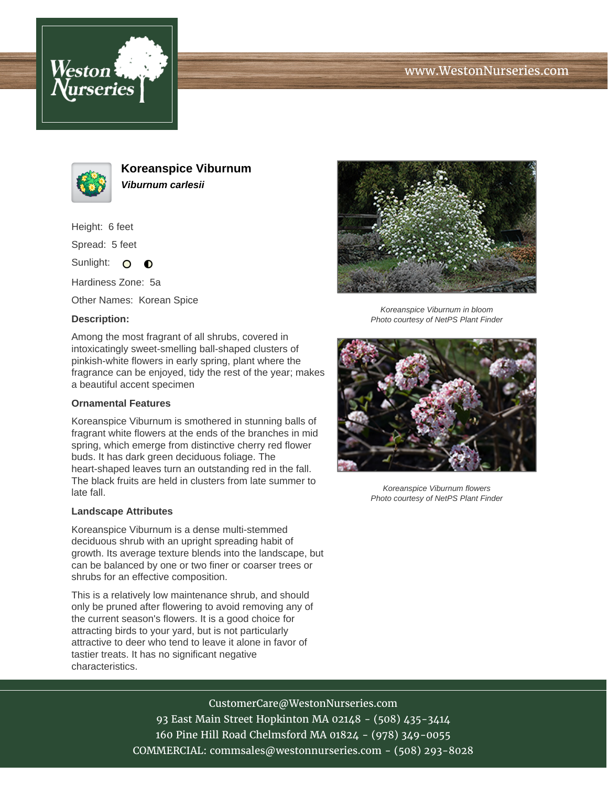





**Koreanspice Viburnum Viburnum carlesii**

Height: 6 feet

Spread: 5 feet

Sunlight: O  $\bullet$ 

Hardiness Zone: 5a

Other Names: Korean Spice

## **Description:**

Among the most fragrant of all shrubs, covered in intoxicatingly sweet-smelling ball-shaped clusters of pinkish-white flowers in early spring, plant where the fragrance can be enjoyed, tidy the rest of the year; makes a beautiful accent specimen

## **Ornamental Features**

Koreanspice Viburnum is smothered in stunning balls of fragrant white flowers at the ends of the branches in mid spring, which emerge from distinctive cherry red flower buds. It has dark green deciduous foliage. The heart-shaped leaves turn an outstanding red in the fall. The black fruits are held in clusters from late summer to late fall.

## **Landscape Attributes**

Koreanspice Viburnum is a dense multi-stemmed deciduous shrub with an upright spreading habit of growth. Its average texture blends into the landscape, but can be balanced by one or two finer or coarser trees or shrubs for an effective composition.

This is a relatively low maintenance shrub, and should only be pruned after flowering to avoid removing any of the current season's flowers. It is a good choice for attracting birds to your yard, but is not particularly attractive to deer who tend to leave it alone in favor of tastier treats. It has no significant negative characteristics.



Koreanspice Viburnum in bloom Photo courtesy of NetPS Plant Finder



Koreanspice Viburnum flowers Photo courtesy of NetPS Plant Finder

CustomerCare@WestonNurseries.com 93 East Main Street Hopkinton MA 02148 - (508) 435-3414 160 Pine Hill Road Chelmsford MA 01824 - (978) 349-0055 COMMERCIAL: commsales@westonnurseries.com - (508) 293-8028